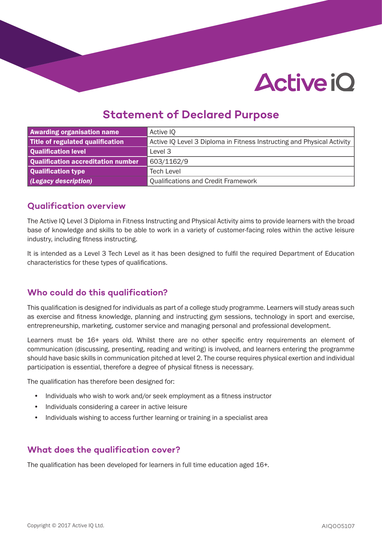# **Active iO**

## **Statement of Declared Purpose**

| <b>Awarding organisation name</b>  | Active IQ                                                              |  |  |
|------------------------------------|------------------------------------------------------------------------|--|--|
| Title of regulated qualification   | Active IQ Level 3 Diploma in Fitness Instructing and Physical Activity |  |  |
| Qualification level                | Level 3                                                                |  |  |
| Qualification accreditation number | 603/1162/9                                                             |  |  |
| Qualification type                 | <b>Tech Level</b>                                                      |  |  |
| (Legacy description)               | <b>Qualifications and Credit Framework</b>                             |  |  |

### **Qualification overview**

The Active IQ Level 3 Diploma in Fitness Instructing and Physical Activity aims to provide learners with the broad base of knowledge and skills to be able to work in a variety of customer-facing roles within the active leisure industry, including fitness instructing.

It is intended as a Level 3 Tech Level as it has been designed to fulfil the required Department of Education characteristics for these types of qualifications.

## **Who could do this qualification?**

This qualification is designed for individuals as part of a college study programme. Learners will study areas such as exercise and fitness knowledge, planning and instructing gym sessions, technology in sport and exercise, entrepreneurship, marketing, customer service and managing personal and professional development.

Learners must be 16+ years old. Whilst there are no other specific entry requirements an element of communication (discussing, presenting, reading and writing) is involved, and learners entering the programme should have basic skills in communication pitched at level 2. The course requires physical exertion and individual participation is essential, therefore a degree of physical fitness is necessary.

The qualification has therefore been designed for:

- Individuals who wish to work and/or seek employment as a fitness instructor
- Individuals considering a career in active leisure
- Individuals wishing to access further learning or training in a specialist area

## **What does the qualification cover?**

The qualification has been developed for learners in full time education aged 16+.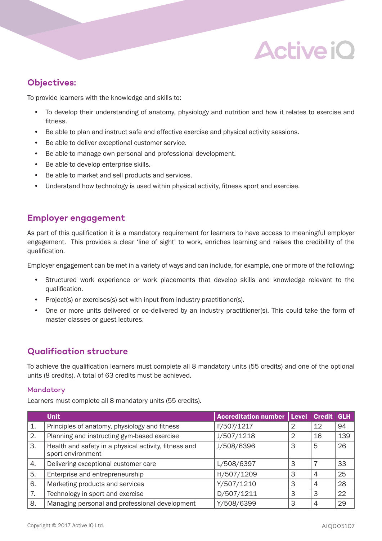## **Active iO**

## **Objectives:**

To provide learners with the knowledge and skills to:

- To develop their understanding of anatomy, physiology and nutrition and how it relates to exercise and fitness.
- Be able to plan and instruct safe and effective exercise and physical activity sessions.
- Be able to deliver exceptional customer service.
- Be able to manage own personal and professional development.
- Be able to develop enterprise skills.
- Be able to market and sell products and services.
- Understand how technology is used within physical activity, fitness sport and exercise.

### **Employer engagement**

As part of this qualification it is a mandatory requirement for learners to have access to meaningful employer engagement. This provides a clear 'line of sight' to work, enriches learning and raises the credibility of the qualification.

Employer engagement can be met in a variety of ways and can include, for example, one or more of the following:

- Structured work experience or work placements that develop skills and knowledge relevant to the qualification.
- Project(s) or exercises(s) set with input from industry practitioner(s).
- One or more units delivered or co-delivered by an industry practitioner(s). This could take the form of master classes or guest lectures.

## **Qualification structure**

To achieve the qualification learners must complete all 8 mandatory units (55 credits) and one of the optional units (8 credits). A total of 63 credits must be achieved.

#### Mandatory

Learners must complete all 8 mandatory units (55 credits).

|    | <b>Unit</b>                                                                | <b>Accreditation number</b> |   | Level Credit | <b>GLH</b> |
|----|----------------------------------------------------------------------------|-----------------------------|---|--------------|------------|
| 1. | Principles of anatomy, physiology and fitness                              | F/507/1217                  | 2 | 12           | 94         |
| 2. | Planning and instructing gym-based exercise                                | J/507/1218                  | 2 | 16           | 139        |
| 3. | Health and safety in a physical activity, fitness and<br>sport environment | J/508/6396                  | 3 | 5            | 26         |
| 4. | Delivering exceptional customer care                                       | L/508/6397                  | 3 |              | 33         |
| 5. | Enterprise and entrepreneurship                                            | H/507/1209                  | З | 4            | 25         |
| 6. | Marketing products and services                                            | Y/507/1210                  | З | 4            | 28         |
| 7. | Technology in sport and exercise                                           | D/507/1211                  | 3 | 3            | 22         |
| 8. | Managing personal and professional development                             | Y/508/6399                  | 3 | 4            | 29         |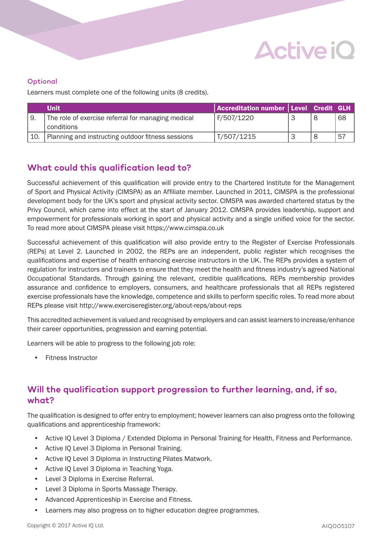

#### **Optional**

Learners must complete one of the following units (8 credits).

|     | <b>Unit</b>                                        | Accreditation number Level Credit GLH |  |    |
|-----|----------------------------------------------------|---------------------------------------|--|----|
|     | The role of exercise referral for managing medical | F/507/1220                            |  | 68 |
|     | conditions                                         |                                       |  |    |
| 10. | Planning and instructing outdoor fitness sessions  | T/507/1215                            |  | 57 |

## **What could this qualification lead to?**

Successful achievement of this qualification will provide entry to the Chartered Institute for the Management of Sport and Physical Activity (CIMSPA) as an Affiliate member. Launched in 2011, CIMSPA is the professional development body for the UK's sport and physical activity sector. CIMSPA was awarded chartered status by the Privy Council, which came into effect at the start of January 2012. CIMSPA provides leadership, support and empowerment for professionals working in sport and physical activity and a single unified voice for the sector. To read more about CIMSPA please visit https://www.cimspa.co.uk

Successful achievement of this qualification will also provide entry to the Register of Exercise Professionals (REPs) at Level 2. Launched in 2002, the REPs are an independent, public register which recognises the qualifications and expertise of health enhancing exercise instructors in the UK. The REPs provides a system of regulation for instructors and trainers to ensure that they meet the health and fitness industry's agreed National Occupational Standards. Through gaining the relevant, credible qualifications, REPs membership provides assurance and confidence to employers, consumers, and healthcare professionals that all REPs registered exercise professionals have the knowledge, competence and skills to perform specific roles. To read more about REPs please visit http://www.exerciseregister.org/about-reps/about-reps

This accredited achievement is valued and recognised by employers and can assist learners to increase/enhance their career opportunities, progression and earning potential.

Learners will be able to progress to the following job role:

• Fitness Instructor

## **Will the qualification support progression to further learning, and, if so, what?**

The qualification is designed to offer entry to employment; however learners can also progress onto the following qualifications and apprenticeship framework:

- Active IQ Level 3 Diploma / Extended Diploma in Personal Training for Health, Fitness and Performance.
- Active IQ Level 3 Diploma in Personal Training.
- Active IQ Level 3 Diploma in Instructing Pilates Matwork.
- Active IQ Level 3 Diploma in Teaching Yoga.
- Level 3 Diploma in Exercise Referral.
- Level 3 Diploma in Sports Massage Therapy.
- Advanced Apprenticeship in Exercise and Fitness.
- Learners may also progress on to higher education degree programmes.